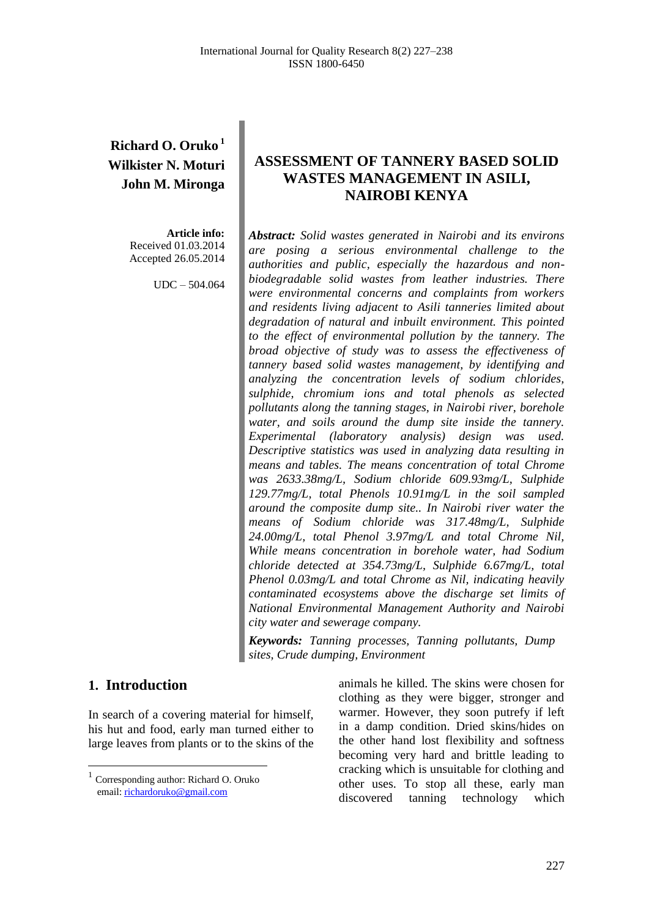# **Richard O. Oruko <sup>1</sup> Wilkister N. Moturi John M. Mironga**

**Article info:** Received 01.03.2014 Accepted 26.05.2014

UDC – 504.064

# **ASSESSMENT OF TANNERY BASED SOLID WASTES MANAGEMENT IN ASILI, NAIROBI KENYA**

*Abstract: Solid wastes generated in Nairobi and its environs are posing a serious environmental challenge to the authorities and public, especially the hazardous and nonbiodegradable solid wastes from leather industries. There were environmental concerns and complaints from workers and residents living adjacent to Asili tanneries limited about degradation of natural and inbuilt environment. This pointed to the effect of environmental pollution by the tannery. The broad objective of study was to assess the effectiveness of tannery based solid wastes management, by identifying and analyzing the concentration levels of sodium chlorides, sulphide, chromium ions and total phenols as selected pollutants along the tanning stages, in Nairobi river, borehole water, and soils around the dump site inside the tannery. Experimental (laboratory analysis) design was used. Descriptive statistics was used in analyzing data resulting in means and tables. The means concentration of total Chrome was 2633.38mg/L, Sodium chloride 609.93mg/L, Sulphide 129.77mg/L, total Phenols 10.91mg/L in the soil sampled around the composite dump site.. In Nairobi river water the means of Sodium chloride was 317.48mg/L, Sulphide 24.00mg/L, total Phenol 3.97mg/L and total Chrome Nil, While means concentration in borehole water, had Sodium chloride detected at 354.73mg/L, Sulphide 6.67mg/L, total Phenol 0.03mg/L and total Chrome as Nil, indicating heavily contaminated ecosystems above the discharge set limits of National Environmental Management Authority and Nairobi city water and sewerage company.*

*Keywords: Tanning processes, Tanning pollutants, Dump sites, Crude dumping, Environment*

### **1. Introduction<sup>1</sup>**

 $\overline{a}$ 

In search of a covering material for himself, his hut and food, early man turned either to large leaves from plants or to the skins of the animals he killed. The skins were chosen for clothing as they were bigger, stronger and warmer. However, they soon putrefy if left in a damp condition. Dried skins/hides on the other hand lost flexibility and softness becoming very hard and brittle leading to cracking which is unsuitable for clothing and other uses. To stop all these, early man discovered tanning technology which

<sup>1</sup> Corresponding author: Richard O. Oruko email[: richardoruko@gmail.com](mailto:richardoruko@gmail.com)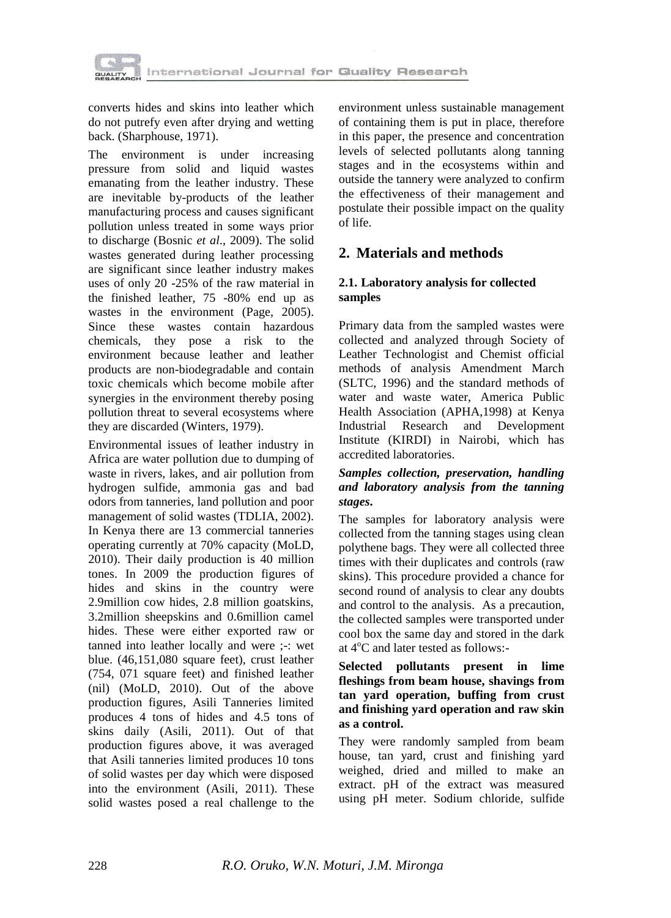

converts hides and skins into leather which do not putrefy even after drying and wetting back. (Sharphouse, 1971).

The environment is under increasing pressure from solid and liquid wastes emanating from the leather industry. These are inevitable by-products of the leather manufacturing process and causes significant pollution unless treated in some ways prior to discharge (Bosnic *et al*., 2009). The solid wastes generated during leather processing are significant since leather industry makes uses of only 20 -25% of the raw material in the finished leather, 75 -80% end up as wastes in the environment (Page, 2005). Since these wastes contain hazardous chemicals, they pose a risk to the environment because leather and leather products are non-biodegradable and contain toxic chemicals which become mobile after synergies in the environment thereby posing pollution threat to several ecosystems where they are discarded (Winters, 1979).

Environmental issues of leather industry in Africa are water pollution due to dumping of waste in rivers, lakes, and air pollution from hydrogen sulfide, ammonia gas and bad odors from tanneries, land pollution and poor management of solid wastes (TDLIA, 2002). In Kenya there are 13 commercial tanneries operating currently at 70% capacity (MoLD, 2010). Their daily production is 40 million tones. In 2009 the production figures of hides and skins in the country were 2.9million cow hides, 2.8 million goatskins, 3.2million sheepskins and 0.6million camel hides. These were either exported raw or tanned into leather locally and were ;-: wet blue. (46,151,080 square feet), crust leather (754, 071 square feet) and finished leather (nil) (MoLD, 2010). Out of the above production figures, Asili Tanneries limited produces 4 tons of hides and 4.5 tons of skins daily (Asili, 2011). Out of that production figures above, it was averaged that Asili tanneries limited produces 10 tons of solid wastes per day which were disposed into the environment (Asili, 2011). These solid wastes posed a real challenge to the

environment unless sustainable management of containing them is put in place, therefore in this paper, the presence and concentration levels of selected pollutants along tanning stages and in the ecosystems within and outside the tannery were analyzed to confirm the effectiveness of their management and postulate their possible impact on the quality of life.

# **2. Materials and methods**

### **2.1. Laboratory analysis for collected samples**

Primary data from the sampled wastes were collected and analyzed through Society of Leather Technologist and Chemist official methods of analysis Amendment March (SLTC, 1996) and the standard methods of water and waste water, America Public Health Association (APHA,1998) at Kenya Industrial Research and Development Institute (KIRDI) in Nairobi, which has accredited laboratories.

### *Samples collection, preservation, handling and laboratory analysis from the tanning stages***.**

The samples for laboratory analysis were collected from the tanning stages using clean polythene bags. They were all collected three times with their duplicates and controls (raw skins). This procedure provided a chance for second round of analysis to clear any doubts and control to the analysis. As a precaution, the collected samples were transported under cool box the same day and stored in the dark at  $4^{\circ}$ C and later tested as follows:-

### **Selected pollutants present in lime fleshings from beam house, shavings from tan yard operation, buffing from crust and finishing yard operation and raw skin as a control.**

They were randomly sampled from beam house, tan yard, crust and finishing yard weighed, dried and milled to make an extract. pH of the extract was measured using pH meter. Sodium chloride, sulfide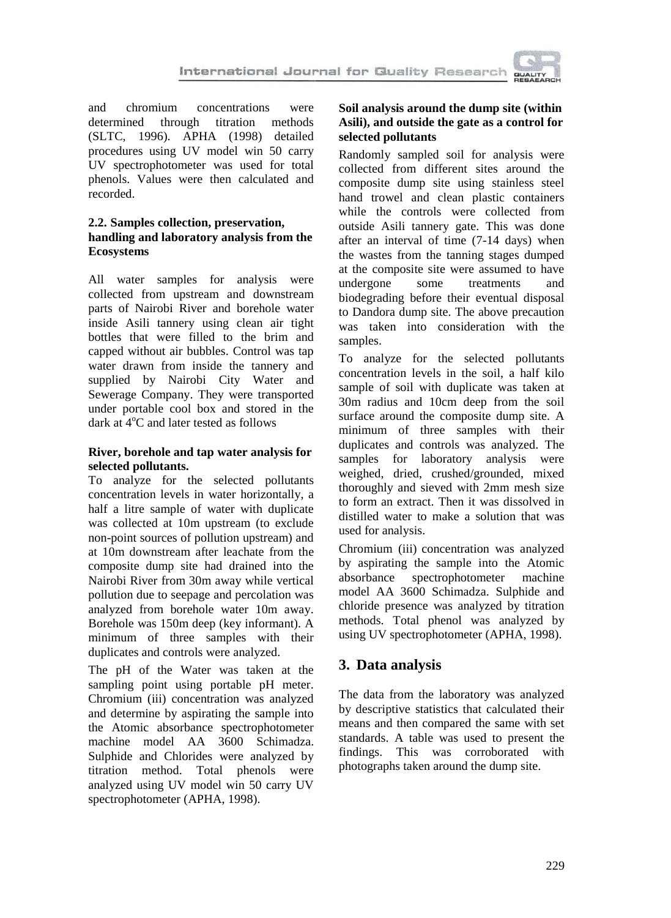

and chromium concentrations were determined through titration methods (SLTC, 1996). APHA (1998) detailed procedures using UV model win 50 carry UV spectrophotometer was used for total phenols. Values were then calculated and recorded.

### **2.2. Samples collection, preservation, handling and laboratory analysis from the Ecosystems**

All water samples for analysis were collected from upstream and downstream parts of Nairobi River and borehole water inside Asili tannery using clean air tight bottles that were filled to the brim and capped without air bubbles. Control was tap water drawn from inside the tannery and supplied by Nairobi City Water and Sewerage Company. They were transported under portable cool box and stored in the dark at  $4^{\circ}$ C and later tested as follows

### **River, borehole and tap water analysis for selected pollutants.**

To analyze for the selected pollutants concentration levels in water horizontally, a half a litre sample of water with duplicate was collected at 10m upstream (to exclude non-point sources of pollution upstream) and at 10m downstream after leachate from the composite dump site had drained into the Nairobi River from 30m away while vertical pollution due to seepage and percolation was analyzed from borehole water 10m away. Borehole was 150m deep (key informant). A minimum of three samples with their duplicates and controls were analyzed.

The pH of the Water was taken at the sampling point using portable pH meter. Chromium (iii) concentration was analyzed and determine by aspirating the sample into the Atomic absorbance spectrophotometer machine model AA 3600 Schimadza. Sulphide and Chlorides were analyzed by titration method. Total phenols were analyzed using UV model win 50 carry UV spectrophotometer (APHA, 1998).

### **Soil analysis around the dump site (within Asili), and outside the gate as a control for selected pollutants**

Randomly sampled soil for analysis were collected from different sites around the composite dump site using stainless steel hand trowel and clean plastic containers while the controls were collected from outside Asili tannery gate. This was done after an interval of time (7-14 days) when the wastes from the tanning stages dumped at the composite site were assumed to have undergone some treatments and biodegrading before their eventual disposal to Dandora dump site. The above precaution was taken into consideration with the samples.

To analyze for the selected pollutants concentration levels in the soil, a half kilo sample of soil with duplicate was taken at 30m radius and 10cm deep from the soil surface around the composite dump site. A minimum of three samples with their duplicates and controls was analyzed. The samples for laboratory analysis were weighed, dried, crushed/grounded, mixed thoroughly and sieved with 2mm mesh size to form an extract. Then it was dissolved in distilled water to make a solution that was used for analysis.

Chromium (iii) concentration was analyzed by aspirating the sample into the Atomic absorbance spectrophotometer machine model AA 3600 Schimadza. Sulphide and chloride presence was analyzed by titration methods. Total phenol was analyzed by using UV spectrophotometer (APHA, 1998).

# **3. Data analysis**

The data from the laboratory was analyzed by descriptive statistics that calculated their means and then compared the same with set standards. A table was used to present the findings. This was corroborated with photographs taken around the dump site.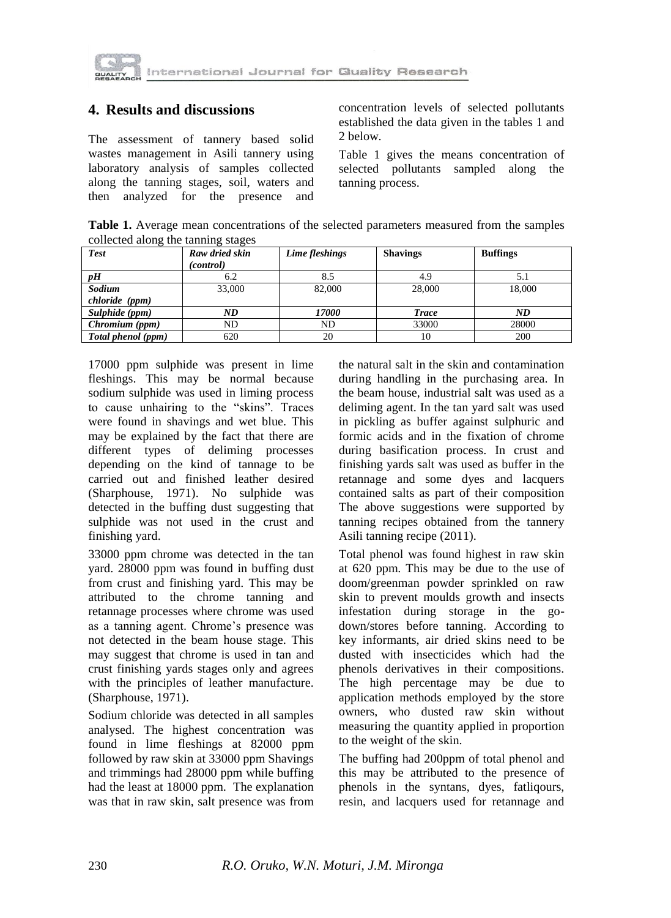

## **4. Results and discussions**

The assessment of tannery based solid wastes management in Asili tannery using laboratory analysis of samples collected along the tanning stages, soil, waters and then analyzed for the presence and

concentration levels of selected pollutants established the data given in the tables 1 and 2 below.

Table 1 gives the means concentration of selected pollutants sampled along the tanning process.

**Table 1.** Average mean concentrations of the selected parameters measured from the samples collected along the tanning stages

| <b>Test</b>        | Raw dried skin<br>(control) | Lime fleshings | <b>Shavings</b> | <b>Buffings</b> |  |
|--------------------|-----------------------------|----------------|-----------------|-----------------|--|
| $\boldsymbol{p}$ H | 6.2                         | 8.5            | 4.9             | J.I             |  |
| Sodium             | 33,000                      | 82,000         | 28,000          | 18.000          |  |
| chloride (ppm)     |                             |                |                 |                 |  |
| Sulphide (ppm)     | ND                          | <i>17000</i>   | <b>Trace</b>    | ND              |  |
| Chromium (ppm)     | ND                          | ND             | 33000           | 28000           |  |
| Total phenol (ppm) | 620                         | 20             | 10              | 200             |  |

17000 ppm sulphide was present in lime fleshings. This may be normal because sodium sulphide was used in liming process to cause unhairing to the "skins". Traces were found in shavings and wet blue. This may be explained by the fact that there are different types of deliming processes depending on the kind of tannage to be carried out and finished leather desired (Sharphouse, 1971). No sulphide was detected in the buffing dust suggesting that sulphide was not used in the crust and finishing yard.

33000 ppm chrome was detected in the tan yard. 28000 ppm was found in buffing dust from crust and finishing yard. This may be attributed to the chrome tanning and retannage processes where chrome was used as a tanning agent. Chrome's presence was not detected in the beam house stage. This may suggest that chrome is used in tan and crust finishing yards stages only and agrees with the principles of leather manufacture. (Sharphouse, 1971).

Sodium chloride was detected in all samples analysed. The highest concentration was found in lime fleshings at 82000 ppm followed by raw skin at 33000 ppm Shavings and trimmings had 28000 ppm while buffing had the least at 18000 ppm. The explanation was that in raw skin, salt presence was from

the natural salt in the skin and contamination during handling in the purchasing area. In the beam house, industrial salt was used as a deliming agent. In the tan yard salt was used in pickling as buffer against sulphuric and formic acids and in the fixation of chrome during basification process. In crust and finishing yards salt was used as buffer in the retannage and some dyes and lacquers contained salts as part of their composition The above suggestions were supported by tanning recipes obtained from the tannery Asili tanning recipe (2011).

Total phenol was found highest in raw skin at 620 ppm. This may be due to the use of doom/greenman powder sprinkled on raw skin to prevent moulds growth and insects infestation during storage in the godown/stores before tanning. According to key informants, air dried skins need to be dusted with insecticides which had the phenols derivatives in their compositions. The high percentage may be due to application methods employed by the store owners, who dusted raw skin without measuring the quantity applied in proportion to the weight of the skin.

The buffing had 200ppm of total phenol and this may be attributed to the presence of phenols in the syntans, dyes, fatliqours, resin, and lacquers used for retannage and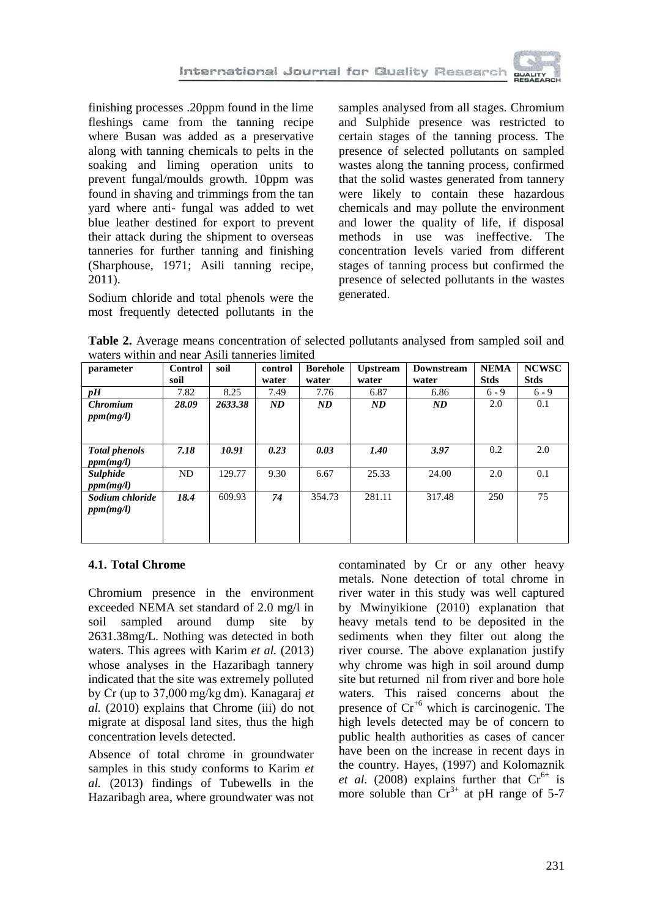

finishing processes .20ppm found in the lime fleshings came from the tanning recipe where Busan was added as a preservative along with tanning chemicals to pelts in the soaking and liming operation units to prevent fungal/moulds growth. 10ppm was found in shaving and trimmings from the tan yard where anti- fungal was added to wet blue leather destined for export to prevent their attack during the shipment to overseas tanneries for further tanning and finishing (Sharphouse, 1971; Asili tanning recipe, 2011).

Sodium chloride and total phenols were the most frequently detected pollutants in the samples analysed from all stages. Chromium and Sulphide presence was restricted to certain stages of the tanning process. The presence of selected pollutants on sampled wastes along the tanning process, confirmed that the solid wastes generated from tannery were likely to contain these hazardous chemicals and may pollute the environment and lower the quality of life, if disposal methods in use was ineffective. The concentration levels varied from different stages of tanning process but confirmed the presence of selected pollutants in the wastes generated.

**Table 2.** Average means concentration of selected pollutants analysed from sampled soil and waters within and near Asili tanneries limited

| parameter                         | <b>Control</b> | soil    | control | <b>Borehole</b> | <b>Upstream</b> | <b>Downstream</b> | <b>NEMA</b> | <b>NCWSC</b> |
|-----------------------------------|----------------|---------|---------|-----------------|-----------------|-------------------|-------------|--------------|
|                                   | soil           |         | water   | water           | water           | water             | <b>Stds</b> | <b>Stds</b>  |
| pH                                | 7.82           | 8.25    | 7.49    | 7.76            | 6.87            | 6.86              | $6 - 9$     | $6 - 9$      |
| <b>Chromium</b><br>ppm(mg/l)      | 28.09          | 2633.38 | ND      | ND              | ND              | ND                | 2.0         | 0.1          |
| <b>Total phenols</b><br>ppm(mg/l) | 7.18           | 10.91   | 0.23    | 0.03            | 1.40            | 3.97              | 0.2         | 2.0          |
| Sulphide<br>ppm(mg/l)             | ND             | 129.77  | 9.30    | 6.67            | 25.33           | 24.00             | 2.0         | 0.1          |
| Sodium chloride<br>ppm(mg/l)      | 18.4           | 609.93  | 74      | 354.73          | 281.11          | 317.48            | 250         | 75           |

### **4.1. Total Chrome**

Chromium presence in the environment exceeded NEMA set standard of 2.0 mg/l in soil sampled around dump site by 2631.38mg/L. Nothing was detected in both waters. This agrees with Karim *et al.* (2013) whose analyses in the Hazaribagh tannery indicated that the site was extremely polluted by Cr (up to 37,000 mg/kg dm). Kanagaraj *et al.* (2010) explains that Chrome (iii) do not migrate at disposal land sites, thus the high concentration levels detected.

Absence of total chrome in groundwater samples in this study conforms to Karim *et al.* (2013) findings of Tubewells in the Hazaribagh area, where groundwater was not

contaminated by Cr or any other heavy metals. None detection of total chrome in river water in this study was well captured by Mwinyikione (2010) explanation that heavy metals tend to be deposited in the sediments when they filter out along the river course. The above explanation justify why chrome was high in soil around dump site but returned nil from river and bore hole waters. This raised concerns about the presence of  $Cr^{6}$  which is carcinogenic. The high levels detected may be of concern to public health authorities as cases of cancer have been on the increase in recent days in the country. Hayes, (1997) and Kolomaznik *et al.* (2008) explains further that  $Cr^{6+}$  is more soluble than  $Cr^{3+}$  at pH range of 5-7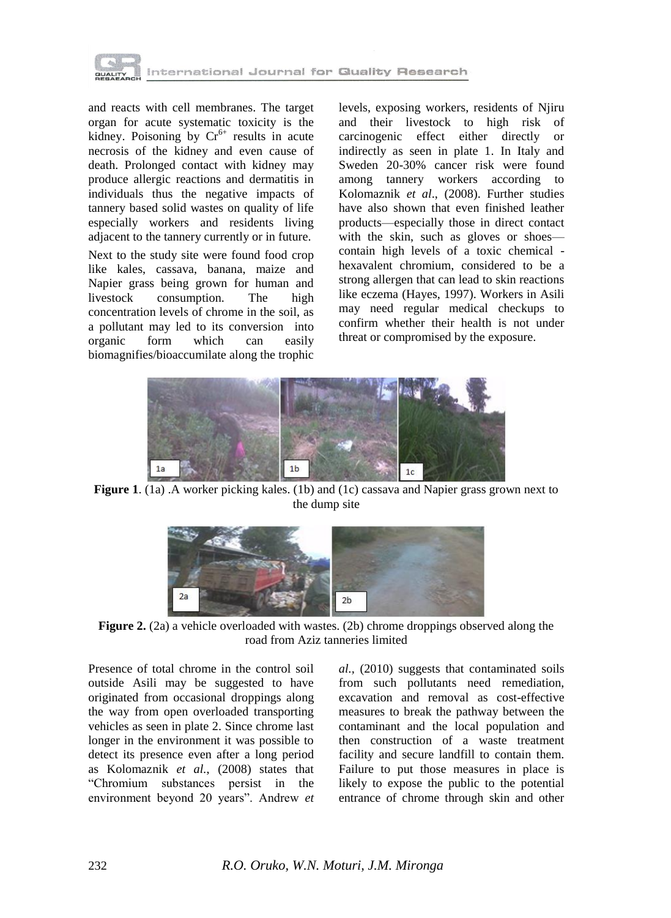

and reacts with cell membranes. The target organ for acute systematic toxicity is the kidney. Poisoning by  $Cr^{6+}$  results in acute necrosis of the kidney and even cause of death. Prolonged contact with kidney may produce allergic reactions and dermatitis in individuals thus the negative impacts of tannery based solid wastes on quality of life especially workers and residents living adjacent to the tannery currently or in future. Next to the study site were found food crop like kales, cassava, banana, maize and Napier grass being grown for human and<br>livestock consumption. The high consumption. The high concentration levels of chrome in the soil, as a pollutant may led to its conversion into<br>organic form which can easily organic form which can easily biomagnifies/bioaccumilate along the trophic levels, exposing workers, residents of Njiru and their livestock to high risk of carcinogenic effect either directly or indirectly as seen in plate 1. In Italy and Sweden 20-30% cancer risk were found among tannery workers according to Kolomaznik *et al*., (2008). Further studies have also shown that even finished leather products—especially those in direct contact with the skin, such as gloves or shoes contain high levels of a toxic chemical hexavalent chromium, considered to be a strong allergen that can lead to skin reactions like eczema (Hayes, 1997). Workers in Asili may need regular medical checkups to confirm whether their health is not under threat or compromised by the exposure.



**Figure 1**. (1a) .A worker picking kales. (1b) and (1c) cassava and Napier grass grown next to the dump site



**Figure 2.** (2a) a vehicle overloaded with wastes. (2b) chrome droppings observed along the road from Aziz tanneries limited

Presence of total chrome in the control soil outside Asili may be suggested to have originated from occasional droppings along the way from open overloaded transporting vehicles as seen in plate 2. Since chrome last longer in the environment it was possible to detect its presence even after a long period as Kolomaznik *et al.*, (2008) states that ―Chromium substances persist in the environment beyond 20 years". Andrew *et*  *al.,* (2010) suggests that contaminated soils from such pollutants need remediation, excavation and removal as cost-effective measures to break the pathway between the contaminant and the local population and then construction of a waste treatment facility and secure landfill to contain them. Failure to put those measures in place is likely to expose the public to the potential entrance of chrome through skin and other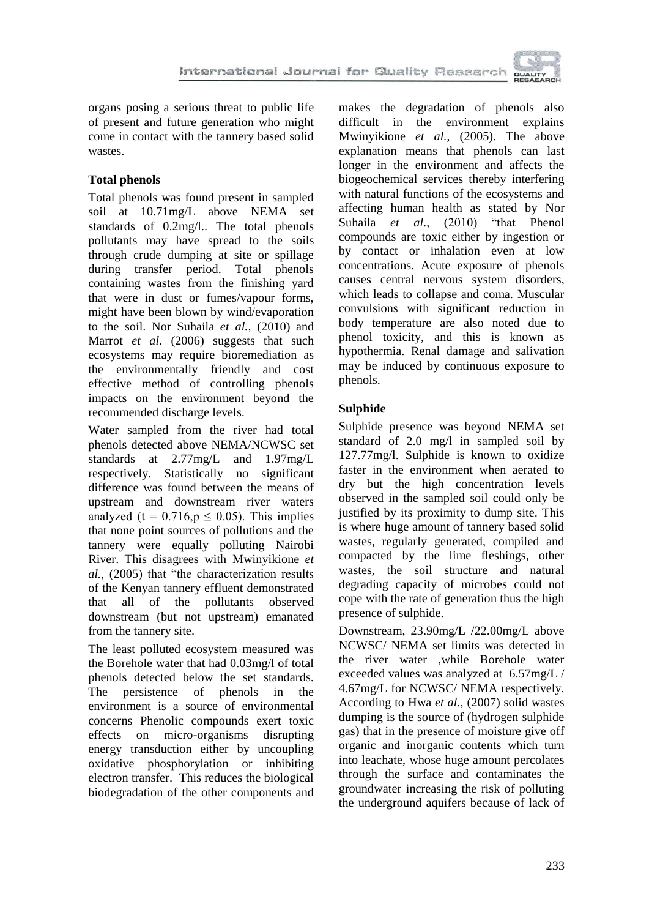

organs posing a serious threat to public life of present and future generation who might come in contact with the tannery based solid wastes.

## **Total phenols**

Total phenols was found present in sampled soil at 10.71mg/L above NEMA set standards of 0.2mg/l.. The total phenols pollutants may have spread to the soils through crude dumping at site or spillage during transfer period. Total phenols containing wastes from the finishing yard that were in dust or fumes/vapour forms, might have been blown by wind/evaporation to the soil. Nor Suhaila *et al.,* (2010) and Marrot *et al.* (2006) suggests that such ecosystems may require bioremediation as the environmentally friendly and cost effective method of controlling phenols impacts on the environment beyond the recommended discharge levels.

Water sampled from the river had total phenols detected above NEMA/NCWSC set standards at 2.77mg/L and 1.97mg/L respectively. Statistically no significant difference was found between the means of upstream and downstream river waters analyzed (t =  $0.716$ , p  $\leq$  0.05). This implies that none point sources of pollutions and the tannery were equally polluting Nairobi River. This disagrees with Mwinyikione *et al.*, (2005) that "the characterization results of the Kenyan tannery effluent demonstrated that all of the pollutants observed downstream (but not upstream) emanated from the tannery site.

The least polluted ecosystem measured was the Borehole water that had 0.03mg/l of total phenols detected below the set standards. The persistence of phenols in the environment is a source of environmental concerns Phenolic compounds exert toxic effects on micro-organisms disrupting energy transduction either by uncoupling oxidative phosphorylation or inhibiting electron transfer. This reduces the biological biodegradation of the other components and makes the degradation of phenols also difficult in the environment explains Mwinyikione *et al.*, (2005). The above explanation means that phenols can last longer in the environment and affects the biogeochemical services thereby interfering with natural functions of the ecosystems and affecting human health as stated by Nor Suhaila *et al.*, (2010) "that Phenol compounds are toxic either by ingestion or by contact or inhalation even at low concentrations. Acute exposure of phenols causes central nervous system disorders, which leads to collapse and coma. Muscular convulsions with significant reduction in body temperature are also noted due to phenol toxicity, and this is known as hypothermia. Renal damage and salivation may be induced by continuous exposure to phenols.

# **Sulphide**

Sulphide presence was beyond NEMA set standard of 2.0 mg/l in sampled soil by 127.77mg/l. Sulphide is known to oxidize faster in the environment when aerated to dry but the high concentration levels observed in the sampled soil could only be justified by its proximity to dump site. This is where huge amount of tannery based solid wastes, regularly generated, compiled and compacted by the lime fleshings, other wastes, the soil structure and natural degrading capacity of microbes could not cope with the rate of generation thus the high presence of sulphide.

Downstream, 23.90mg/L /22.00mg/L above NCWSC/ NEMA set limits was detected in the river water ,while Borehole water exceeded values was analyzed at 6.57mg/L / 4.67mg/L for NCWSC/ NEMA respectively. According to Hwa *et al.,* (2007) solid wastes dumping is the source of (hydrogen sulphide gas) that in the presence of moisture give off organic and inorganic contents which turn into leachate, whose huge amount percolates through the surface and contaminates the groundwater increasing the risk of polluting the underground aquifers because of lack of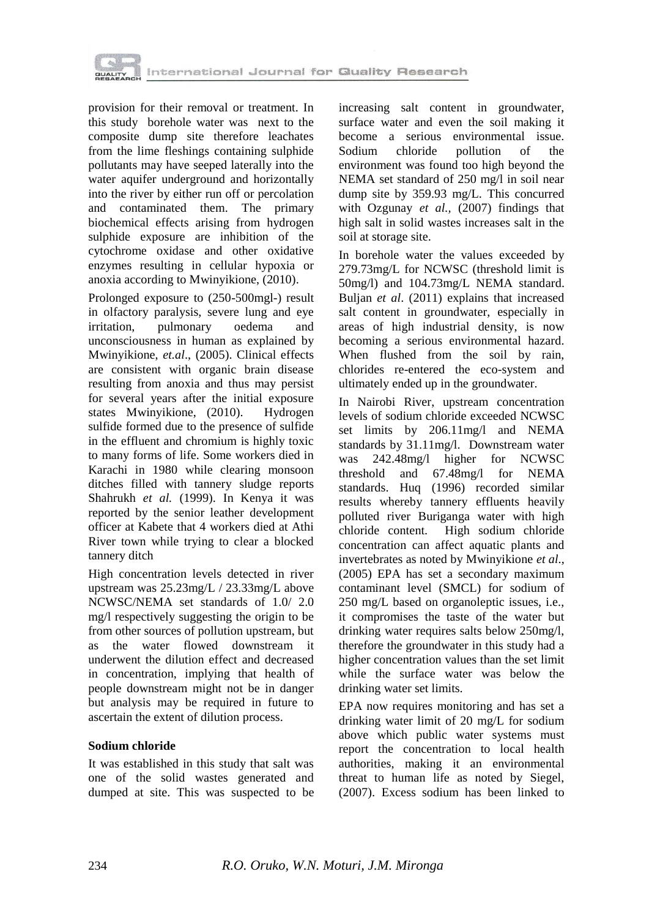

provision for their removal or treatment. In this study borehole water was next to the composite dump site therefore leachates from the lime fleshings containing sulphide pollutants may have seeped laterally into the water aquifer underground and horizontally into the river by either run off or percolation and contaminated them. The primary biochemical effects arising from hydrogen sulphide exposure are inhibition of the cytochrome oxidase and other oxidative enzymes resulting in cellular hypoxia or anoxia according to Mwinyikione, (2010).

Prolonged exposure to (250-500mgl-) result in olfactory paralysis, severe lung and eye irritation, pulmonary oedema and unconsciousness in human as explained by Mwinyikione, *et.al*., (2005). Clinical effects are consistent with organic brain disease resulting from anoxia and thus may persist for several years after the initial exposure states Mwinyikione, (2010). Hydrogen sulfide formed due to the presence of sulfide in the effluent and chromium is highly toxic to many forms of life. Some workers died in Karachi in 1980 while clearing monsoon ditches filled with tannery sludge reports Shahrukh *et al.* (1999). In Kenya it was reported by the senior leather development officer at Kabete that 4 workers died at Athi River town while trying to clear a blocked tannery ditch

High concentration levels detected in river upstream was 25.23mg/L / 23.33mg/L above NCWSC/NEMA set standards of 1.0/ 2.0 mg/l respectively suggesting the origin to be from other sources of pollution upstream, but as the water flowed downstream it underwent the dilution effect and decreased in concentration, implying that health of people downstream might not be in danger but analysis may be required in future to ascertain the extent of dilution process.

### **Sodium chloride**

It was established in this study that salt was one of the solid wastes generated and dumped at site. This was suspected to be increasing salt content in groundwater, surface water and even the soil making it become a serious environmental issue. Sodium chloride pollution of the environment was found too high beyond the NEMA set standard of 250 mg/l in soil near dump site by 359.93 mg/L. This concurred with Ozgunay *et al.,* (2007) findings that high salt in solid wastes increases salt in the soil at storage site.

In borehole water the values exceeded by 279.73mg/L for NCWSC (threshold limit is 50mg/l) and 104.73mg/L NEMA standard. Buljan *et al*. (2011) explains that increased salt content in groundwater, especially in areas of high industrial density, is now becoming a serious environmental hazard. When flushed from the soil by rain, chlorides re-entered the eco-system and ultimately ended up in the groundwater.

In Nairobi River, upstream concentration levels of sodium chloride exceeded NCWSC set limits by 206.11mg/l and NEMA standards by 31.11mg/l. Downstream water was 242.48mg/l higher for NCWSC threshold and 67.48mg/l for NEMA standards. Huq (1996) recorded similar results whereby tannery effluents heavily polluted river Buriganga water with high chloride content. High sodium chloride concentration can affect aquatic plants and invertebrates as noted by Mwinyikione *et al*., (2005) EPA has set a secondary maximum contaminant level (SMCL) for sodium of 250 mg/L based on organoleptic issues, i.e., it compromises the taste of the water but drinking water requires salts below 250mg/l, therefore the groundwater in this study had a higher concentration values than the set limit while the surface water was below the drinking water set limits.

EPA now requires monitoring and has set a drinking water limit of 20 mg/L for sodium above which public water systems must report the concentration to local health authorities, making it an environmental threat to human life as noted by Siegel, (2007). Excess sodium has been linked to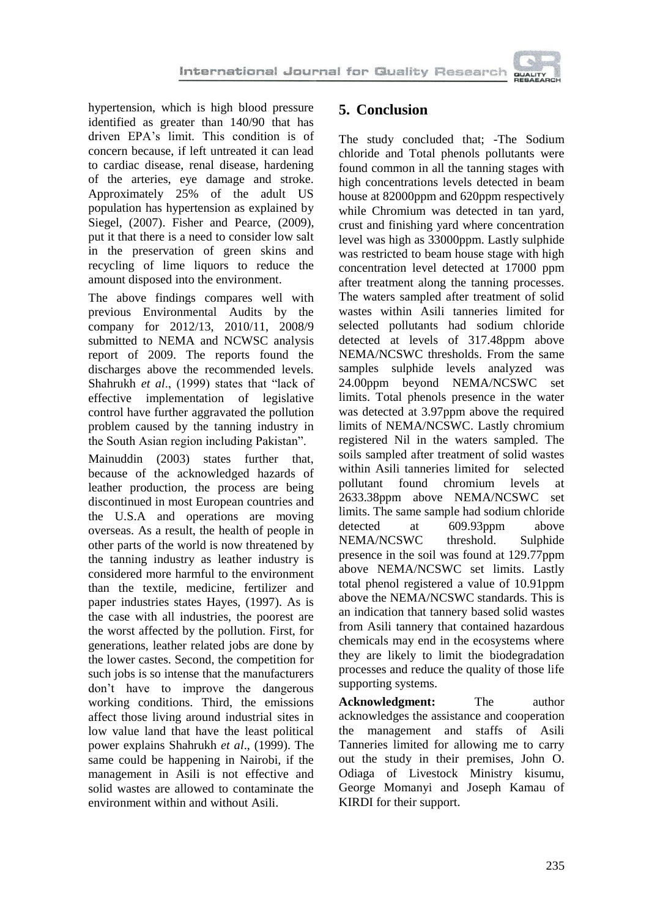

hypertension, which is high blood pressure identified as greater than 140/90 that has driven EPA's limit. This condition is of concern because, if left untreated it can lead to cardiac disease, renal disease, hardening of the arteries, eye damage and stroke. Approximately 25% of the adult US population has hypertension as explained by Siegel, (2007). Fisher and Pearce, (2009), put it that there is a need to consider low salt in the preservation of green skins and recycling of lime liquors to reduce the amount disposed into the environment.

The above findings compares well with previous Environmental Audits by the company for 2012/13, 2010/11, 2008/9 submitted to NEMA and NCWSC analysis report of 2009. The reports found the discharges above the recommended levels. Shahrukh *et al.*, (1999) states that "lack of effective implementation of legislative control have further aggravated the pollution problem caused by the tanning industry in the South Asian region including Pakistan".

Mainuddin (2003) states further that, because of the acknowledged hazards of leather production, the process are being discontinued in most European countries and the U.S.A and operations are moving overseas. As a result, the health of people in other parts of the world is now threatened by the tanning industry as leather industry is considered more harmful to the environment than the textile, medicine, fertilizer and paper industries states Hayes, (1997). As is the case with all industries, the poorest are the worst affected by the pollution. First, for generations, leather related jobs are done by the lower castes. Second, the competition for such jobs is so intense that the manufacturers don't have to improve the dangerous working conditions. Third, the emissions affect those living around industrial sites in low value land that have the least political power explains Shahrukh *et al*., (1999). The same could be happening in Nairobi, if the management in Asili is not effective and solid wastes are allowed to contaminate the environment within and without Asili.

# **5. Conclusion**

The study concluded that; -The Sodium chloride and Total phenols pollutants were found common in all the tanning stages with high concentrations levels detected in beam house at 82000ppm and 620ppm respectively while Chromium was detected in tan yard, crust and finishing yard where concentration level was high as 33000ppm. Lastly sulphide was restricted to beam house stage with high concentration level detected at 17000 ppm after treatment along the tanning processes. The waters sampled after treatment of solid wastes within Asili tanneries limited for selected pollutants had sodium chloride detected at levels of 317.48ppm above NEMA/NCSWC thresholds. From the same samples sulphide levels analyzed was 24.00ppm beyond NEMA/NCSWC set limits. Total phenols presence in the water was detected at 3.97ppm above the required limits of NEMA/NCSWC. Lastly chromium registered Nil in the waters sampled. The soils sampled after treatment of solid wastes within Asili tanneries limited for selected pollutant found chromium levels at 2633.38ppm above NEMA/NCSWC set limits. The same sample had sodium chloride detected at 609.93ppm above NEMA/NCSWC threshold. Sulphide presence in the soil was found at 129.77ppm above NEMA/NCSWC set limits. Lastly total phenol registered a value of 10.91ppm above the NEMA/NCSWC standards. This is an indication that tannery based solid wastes from Asili tannery that contained hazardous chemicals may end in the ecosystems where they are likely to limit the biodegradation processes and reduce the quality of those life supporting systems.

**Acknowledgment:** The author acknowledges the assistance and cooperation the management and staffs of Asili Tanneries limited for allowing me to carry out the study in their premises, John O. Odiaga of Livestock Ministry kisumu, George Momanyi and Joseph Kamau of KIRDI for their support.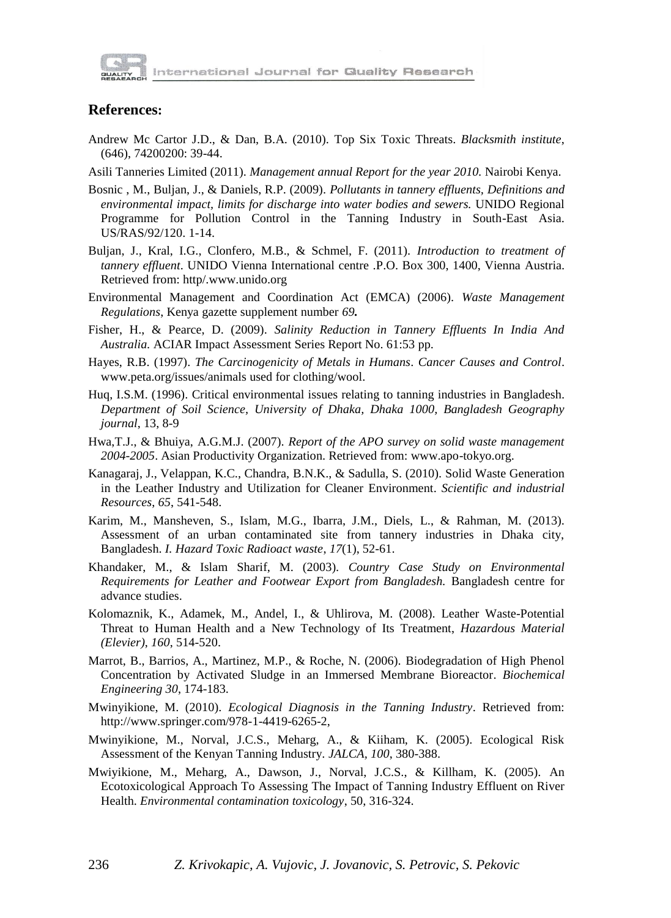

### **References:**

- Andrew Mc Cartor J.D., & Dan, B.A. (2010). Top Six Toxic Threats. *Blacksmith institute*, (646), 74200200: 39-44.
- Asili Tanneries Limited (2011). *Management annual Report for the year 2010.* Nairobi Kenya.
- Bosnic , M., Buljan, J., & Daniels, R.P. (2009). *Pollutants in tannery effluents, Definitions and environmental impact, limits for discharge into water bodies and sewers.* UNIDO Regional Programme for Pollution Control in the Tanning Industry in South-East Asia. US/RAS/92/120. 1-14.
- Buljan, J., Kral, I.G., Clonfero, M.B., & Schmel, F. (2011). *Introduction to treatment of tannery effluent*. UNIDO Vienna International centre .P.O. Box 300, 1400, Vienna Austria. Retrieved from: http/.www.unido.org
- Environmental Management and Coordination Act (EMCA) (2006). *Waste Management Regulations*, Kenya gazette supplement number *69.*
- Fisher, H., & Pearce, D. (2009). *Salinity Reduction in Tannery Effluents In India And Australia.* ACIAR Impact Assessment Series Report No. 61:53 pp.
- Hayes, R.B. (1997). *The Carcinogenicity of Metals in Humans*. *Cancer Causes and Control*. www.peta.org/issues/animals used for clothing/wool.
- Huq, I.S.M. (1996). Critical environmental issues relating to tanning industries in Bangladesh. *Department of Soil Science, University of Dhaka, Dhaka 1000, Bangladesh Geography journal*, 13, 8-9
- Hwa,T.J., & Bhuiya, A.G.M.J. (2007). *Report of the APO survey on solid waste management 2004-2005*. Asian Productivity Organization. Retrieved from: www.apo-tokyo.org.
- Kanagaraj, J., Velappan, K.C., Chandra, B.N.K., & Sadulla, S. (2010). Solid Waste Generation in the Leather Industry and Utilization for Cleaner Environment. *Scientific and industrial Resources*, *65*, 541-548.
- Karim, M., Mansheven, S., Islam, M.G., Ibarra, J.M., Diels, L., & Rahman, M. (2013). Assessment of an urban contaminated site from tannery industries in Dhaka city, Bangladesh. *I. Hazard Toxic Radioact waste*, *17*(1), 52-61.
- Khandaker, M., & Islam Sharif, M. (2003). *Country Case Study on Environmental Requirements for Leather and Footwear Export from Bangladesh.* Bangladesh centre for advance studies.
- Kolomaznik, K., Adamek, M., Andel, I., & Uhlirova, M. (2008). Leather Waste-Potential Threat to Human Health and a New Technology of Its Treatment, *Hazardous Material (Elevier)*, *160*, 514-520.
- Marrot, B., Barrios, A., Martinez, M.P., & Roche, N. (2006). Biodegradation of High Phenol Concentration by Activated Sludge in an Immersed Membrane Bioreactor. *Biochemical Engineering 30*, 174-183.
- Mwinyikione, M. (2010). *Ecological Diagnosis in the Tanning Industry*. Retrieved from: http://www.springer.com/978-1-4419-6265-2,
- Mwinyikione, M., Norval, J.C.S., Meharg, A., & Kiiham, K. (2005). Ecological Risk Assessment of the Kenyan Tanning Industry. *JALCA, 100*, 380-388.
- Mwiyikione, M., Meharg, A., Dawson, J., Norval, J.C.S., & Killham, K. (2005). An Ecotoxicological Approach To Assessing The Impact of Tanning Industry Effluent on River Health. *Environmental contamination toxicology*, 50, 316-324.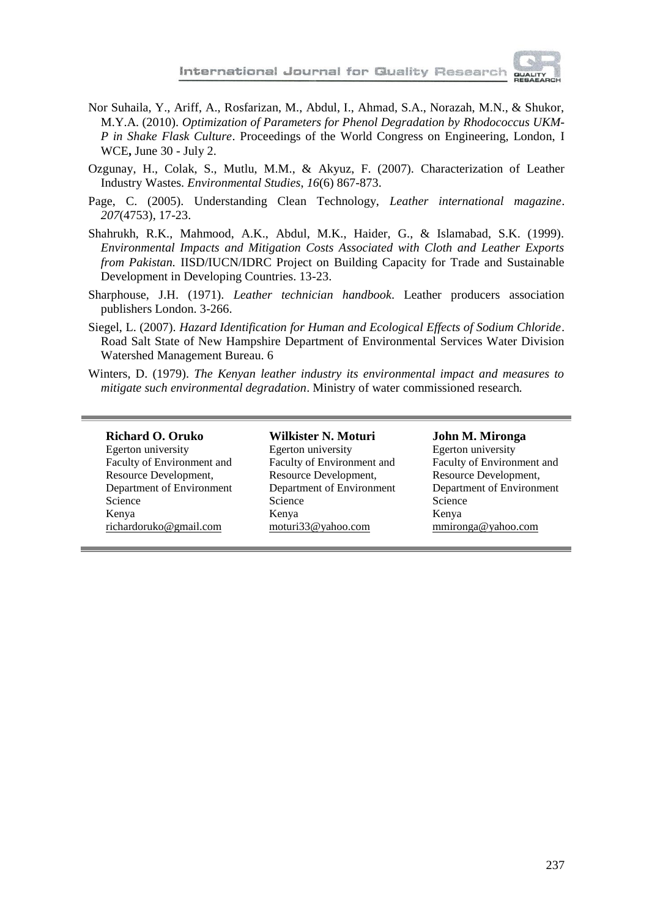

- Nor Suhaila, Y., Ariff, A., Rosfarizan, M., Abdul, I., Ahmad, S.A., Norazah, M.N., & Shukor, M.Y.A. (2010). *Optimization of Parameters for Phenol Degradation by Rhodococcus UKM-P in Shake Flask Culture*. Proceedings of the World Congress on Engineering, London, I WCE**,** June 30 - July 2.
- Ozgunay, H., Colak, S., Mutlu, M.M., & Akyuz, F. (2007). Characterization of Leather Industry Wastes. *Environmental Studies*, *16*(6) 867-873.
- Page, C. (2005). Understanding Clean Technology, *Leather international magazine*. *207*(4753), 17-23.
- Shahrukh, R.K., Mahmood, A.K., Abdul, M.K., Haider, G., & Islamabad, S.K. (1999). *Environmental Impacts and Mitigation Costs Associated with Cloth and Leather Exports from Pakistan.* IISD/IUCN/IDRC Project on Building Capacity for Trade and Sustainable Development in Developing Countries. 13-23.
- Sharphouse, J.H. (1971). *Leather technician handbook*. Leather producers association publishers London. 3-266.
- Siegel, L. (2007). *Hazard Identification for Human and Ecological Effects of Sodium Chloride*. Road Salt State of New Hampshire Department of Environmental Services Water Division Watershed Management Bureau. 6
- Winters, D. (1979). *The Kenyan leather industry its environmental impact and measures to mitigate such environmental degradation*. Ministry of water commissioned research*.*

#### **Richard O. Oruko**

Egerton university Faculty of Environment and Resource Development, Department of Environment Science Kenya [richardoruko@gmail.com](mailto:richardoruko@gmail.com)

**Wilkister N. Moturi** Egerton university Faculty of Environment and Resource Development, Department of Environment Science Kenya [moturi33@yahoo.com](mailto:moturi33@yahoo.com)

#### **John M. Mironga**

Egerton university Faculty of Environment and Resource Development, Department of Environment Science Kenya [mmironga@yahoo.com](mailto:mmironga@yahoo.com)